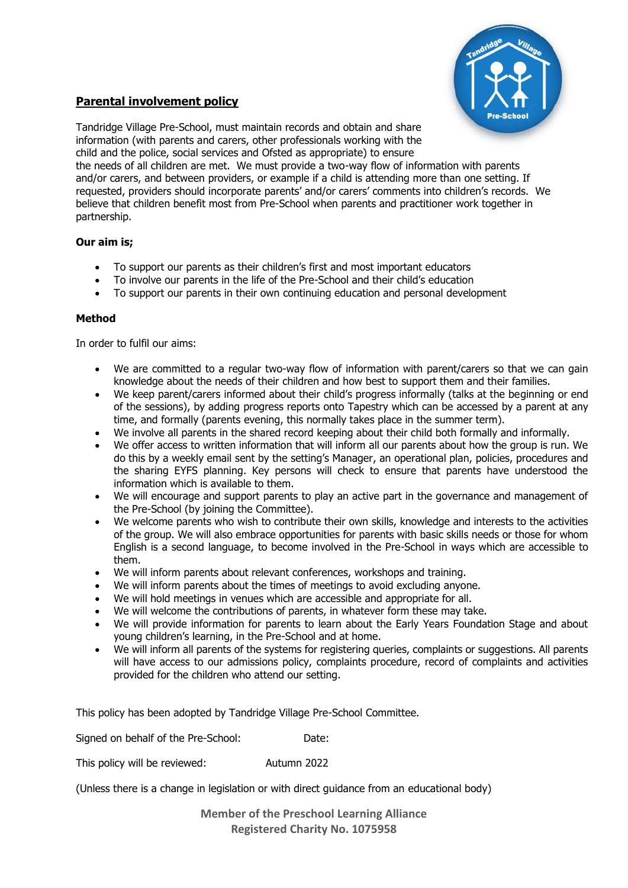

## **Parental involvement policy**

Tandridge Village Pre-School, must maintain records and obtain and share information (with parents and carers, other professionals working with the child and the police, social services and Ofsted as appropriate) to ensure the needs of all children are met. We must provide a two-way flow of information with parents

and/or carers, and between providers, or example if a child is attending more than one setting. If requested, providers should incorporate parents' and/or carers' comments into children's records. We believe that children benefit most from Pre-School when parents and practitioner work together in partnership.

## **Our aim is;**

- To support our parents as their children's first and most important educators
- To involve our parents in the life of the Pre-School and their child's education
- To support our parents in their own continuing education and personal development

## **Method**

In order to fulfil our aims:

- We are committed to a regular two-way flow of information with parent/carers so that we can gain knowledge about the needs of their children and how best to support them and their families.
- We keep parent/carers informed about their child's progress informally (talks at the beginning or end of the sessions), by adding progress reports onto Tapestry which can be accessed by a parent at any time, and formally (parents evening, this normally takes place in the summer term).
- We involve all parents in the shared record keeping about their child both formally and informally.
- We offer access to written information that will inform all our parents about how the group is run. We do this by a weekly email sent by the setting's Manager, an operational plan, policies, procedures and the sharing EYFS planning. Key persons will check to ensure that parents have understood the information which is available to them.
- We will encourage and support parents to play an active part in the governance and management of the Pre-School (by joining the Committee).
- We welcome parents who wish to contribute their own skills, knowledge and interests to the activities of the group. We will also embrace opportunities for parents with basic skills needs or those for whom English is a second language, to become involved in the Pre-School in ways which are accessible to them.
- We will inform parents about relevant conferences, workshops and training.
- We will inform parents about the times of meetings to avoid excluding anyone.
- We will hold meetings in venues which are accessible and appropriate for all.
- We will welcome the contributions of parents, in whatever form these may take.
- We will provide information for parents to learn about the Early Years Foundation Stage and about young children's learning, in the Pre-School and at home.
- We will inform all parents of the systems for registering queries, complaints or suggestions. All parents will have access to our admissions policy, complaints procedure, record of complaints and activities provided for the children who attend our setting.

This policy has been adopted by Tandridge Village Pre-School Committee.

Signed on behalf of the Pre-School: Date:

This policy will be reviewed: Autumn 2022

(Unless there is a change in legislation or with direct guidance from an educational body)

**Member of the Preschool Learning Alliance Registered Charity No. 1075958**